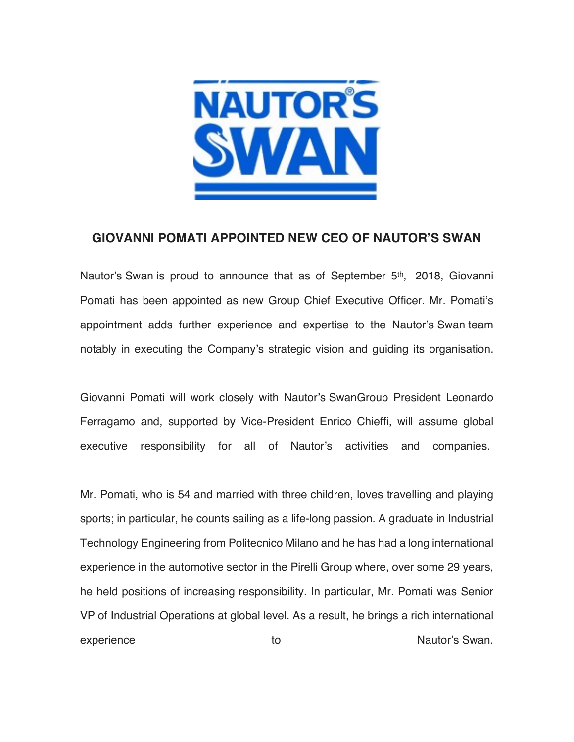

## **GIOVANNI POMATI APPOINTED NEW CEO OF NAUTOR'S SWAN**

Nautor's Swan is proud to announce that as of September  $5<sup>th</sup>$ , 2018, Giovanni Pomati has been appointed as new Group Chief Executive Officer. Mr. Pomati's appointment adds further experience and expertise to the Nautor's Swan team notably in executing the Company's strategic vision and guiding its organisation.

Giovanni Pomati will work closely with Nautor's SwanGroup President Leonardo Ferragamo and, supported by Vice-President Enrico Chieffi, will assume global executive responsibility for all of Nautor's activities and companies.

Mr. Pomati, who is 54 and married with three children, loves travelling and playing sports; in particular, he counts sailing as a life-long passion. A graduate in Industrial Technology Engineering from Politecnico Milano and he has had a long international experience in the automotive sector in the Pirelli Group where, over some 29 years, he held positions of increasing responsibility. In particular, Mr. Pomati was Senior VP of Industrial Operations at global level. As a result, he brings a rich international experience to to to Nautor's Swan.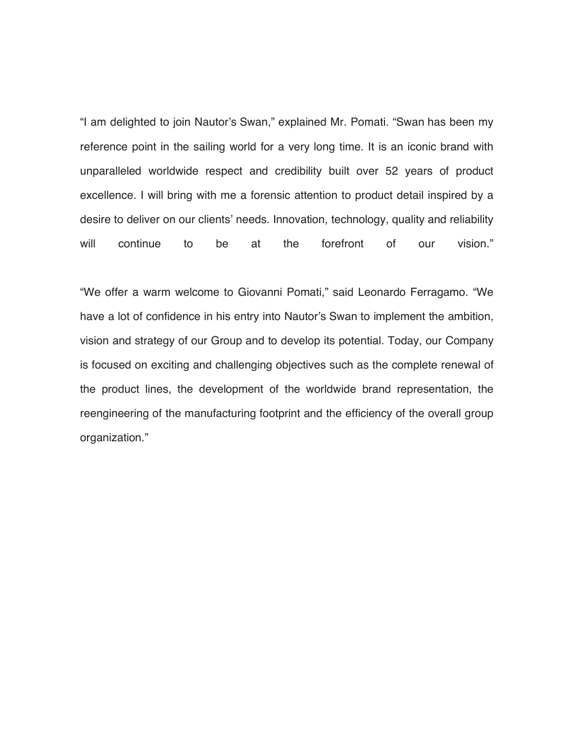"I am delighted to join Nautor's Swan," explained Mr. Pomati. "Swan has been my reference point in the sailing world for a very long time. It is an iconic brand with unparalleled worldwide respect and credibility built over 52 years of product excellence. I will bring with me a forensic attention to product detail inspired by a desire to deliver on our clients' needs. Innovation, technology, quality and reliability will continue to be at the forefront of our vision."

"We offer a warm welcome to Giovanni Pomati," said Leonardo Ferragamo. "We have a lot of confidence in his entry into Nautor's Swan to implement the ambition, vision and strategy of our Group and to develop its potential. Today, our Company is focused on exciting and challenging objectives such as the complete renewal of the product lines, the development of the worldwide brand representation, the reengineering of the manufacturing footprint and the efficiency of the overall group organization."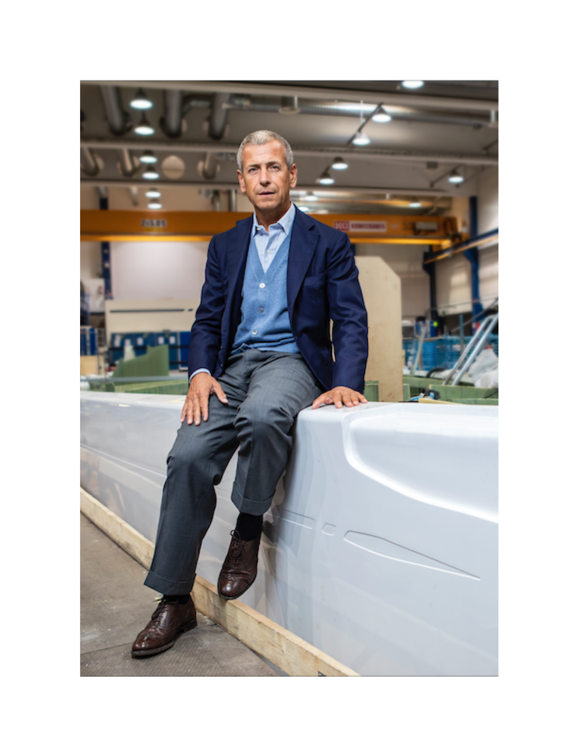